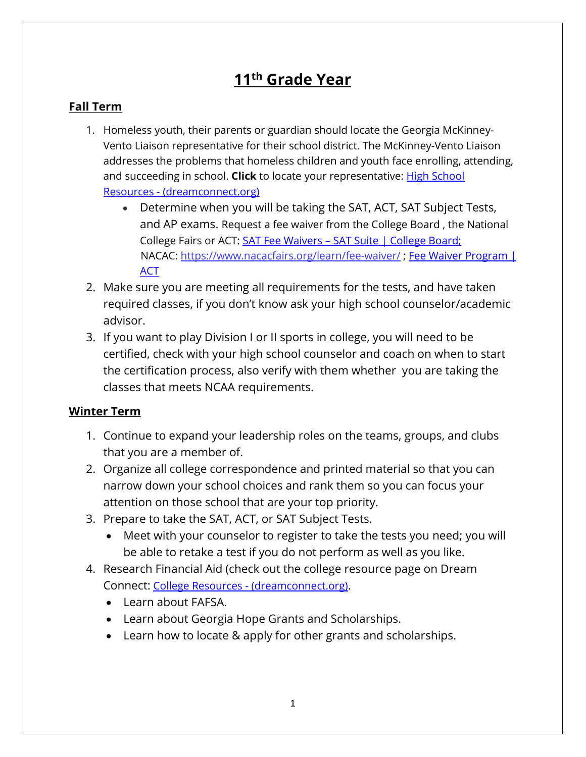## **11th Grade Year**

## **Fall Term**

- 1. Homeless youth, their parents or guardian should locate the Georgia McKinney-Vento Liaison representative for their school district. The McKinney-Vento Liaison addresses the problems that homeless children and youth face enrolling, attending, and succeeding in school. **Click** to locate your representative: [High School](https://dreamconnect.org/community-resources-directory/high-school-resources/)  Resources - [\(dreamconnect.org\)](https://dreamconnect.org/community-resources-directory/high-school-resources/)
	- Determine when you will be taking the SAT, ACT, SAT Subject Tests, and AP exams. Request a fee waiver from the College Board , the National College Fairs or ACT: SAT Fee Waivers - [SAT Suite | College Board;](https://satsuite.collegeboard.org/sat/registration/fee-waivers) NACAC:<https://www.nacacfairs.org/learn/fee-waiver/>; Fee Waiver Program | [ACT](https://www.act.org/content/act/en/products-and-services/the-act/registration/fees/fee-waivers.html)
- 2. Make sure you are meeting all requirements for the tests, and have taken required classes, if you don't know ask your high school counselor/academic advisor.
- 3. If you want to play Division I or II sports in college, you will need to be certified, check with your high school counselor and coach on when to start the certification process, also verify with them whether you are taking the classes that meets NCAA requirements.

## **Winter Term**

- 1. Continue to expand your leadership roles on the teams, groups, and clubs that you are a member of.
- 2. Organize all college correspondence and printed material so that you can narrow down your school choices and rank them so you can focus your attention on those school that are your top priority.
- 3. Prepare to take the SAT, ACT, or SAT Subject Tests.
	- Meet with your counselor to register to take the tests you need; you will be able to retake a test if you do not perform as well as you like.
- 4. Research Financial Aid (check out the college resource page on Dream Connect: College Resources - [\(dreamconnect.org\).](https://dreamconnect.org/community-resources-directory/college-resources/)
	- Learn about FAFSA.
	- Learn about Georgia Hope Grants and Scholarships.
	- Learn how to locate & apply for other grants and scholarships.